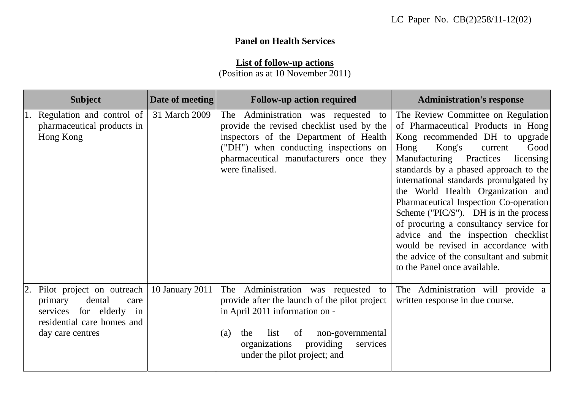## **Panel on Health Services**

## **List of follow-up actions**

(Position as at 10 November 2011)

| <b>Subject</b>                                                                                                                         | Date of meeting | <b>Follow-up action required</b>                                                                                                                                                                                                                 | <b>Administration's response</b>                                                                                                                                                                                                                                                                                                                                                                                                                                                                                                                                                                           |
|----------------------------------------------------------------------------------------------------------------------------------------|-----------------|--------------------------------------------------------------------------------------------------------------------------------------------------------------------------------------------------------------------------------------------------|------------------------------------------------------------------------------------------------------------------------------------------------------------------------------------------------------------------------------------------------------------------------------------------------------------------------------------------------------------------------------------------------------------------------------------------------------------------------------------------------------------------------------------------------------------------------------------------------------------|
| 1. Regulation and control of<br>pharmaceutical products in<br>Hong Kong                                                                | 31 March 2009   | The Administration was requested to<br>provide the revised checklist used by the<br>inspectors of the Department of Health<br>("DH") when conducting inspections on<br>pharmaceutical manufacturers once they<br>were finalised.                 | The Review Committee on Regulation<br>of Pharmaceutical Products in Hong<br>Kong recommended DH to upgrade<br>Hong<br>Kong's<br>Good<br>current<br>Manufacturing Practices<br>licensing<br>standards by a phased approach to the<br>international standards promulgated by<br>the World Health Organization and<br>Pharmaceutical Inspection Co-operation<br>Scheme ( $'PIC/S'$ ). DH is in the process<br>of procuring a consultancy service for<br>advice and the inspection checklist<br>would be revised in accordance with<br>the advice of the consultant and submit<br>to the Panel once available. |
| 2. Pilot project on outreach<br>dental<br>primary<br>care<br>services for elderly in<br>residential care homes and<br>day care centres | 10 January 2011 | The Administration was requested to<br>provide after the launch of the pilot project<br>in April 2011 information on -<br>list<br>of<br>non-governmental<br>the<br>(a)<br>organizations<br>providing<br>services<br>under the pilot project; and | The Administration will provide a<br>written response in due course.                                                                                                                                                                                                                                                                                                                                                                                                                                                                                                                                       |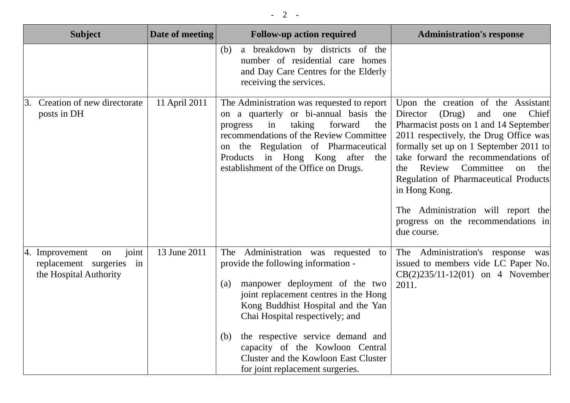| <b>Subject</b>                                                                         | Date of meeting | <b>Follow-up action required</b>                                                                                                                                                                                                                                                                                                                                                                 | <b>Administration's response</b>                                                                                                                                                                                                                                                                                                                                                                                                                     |
|----------------------------------------------------------------------------------------|-----------------|--------------------------------------------------------------------------------------------------------------------------------------------------------------------------------------------------------------------------------------------------------------------------------------------------------------------------------------------------------------------------------------------------|------------------------------------------------------------------------------------------------------------------------------------------------------------------------------------------------------------------------------------------------------------------------------------------------------------------------------------------------------------------------------------------------------------------------------------------------------|
|                                                                                        |                 | a breakdown by districts of the<br>(b)<br>number of residential care homes<br>and Day Care Centres for the Elderly<br>receiving the services.                                                                                                                                                                                                                                                    |                                                                                                                                                                                                                                                                                                                                                                                                                                                      |
| 3. Creation of new directorate<br>posts in DH                                          | 11 April 2011   | The Administration was requested to report<br>on a quarterly or bi-annual basis the<br>forward<br>progress<br>taking<br>the<br>in<br>recommendations of the Review Committee<br>on the Regulation of Pharmaceutical<br>in Hong Kong after<br>Products<br>the<br>establishment of the Office on Drugs.                                                                                            | Upon the creation of the Assistant<br>(Drug)<br>and<br>Chief<br>Director<br>one<br>Pharmacist posts on 1 and 14 September<br>2011 respectively, the Drug Office was<br>formally set up on 1 September 2011 to<br>take forward the recommendations of<br>Committee<br>Review<br>the<br>on<br>the<br>Regulation of Pharmaceutical Products<br>in Hong Kong.<br>The Administration will report the<br>progress on the recommendations in<br>due course. |
| joint<br>4. Improvement<br>on<br>replacement surgeries<br>in<br>the Hospital Authority | 13 June 2011    | The Administration was requested to<br>provide the following information -<br>manpower deployment of the two<br>(a)<br>joint replacement centres in the Hong<br>Kong Buddhist Hospital and the Yan<br>Chai Hospital respectively; and<br>the respective service demand and<br>(b)<br>capacity of the Kowloon Central<br>Cluster and the Kowloon East Cluster<br>for joint replacement surgeries. | The Administration's response was<br>issued to members vide LC Paper No.<br>$CB(2)235/11-12(01)$ on 4 November<br>2011.                                                                                                                                                                                                                                                                                                                              |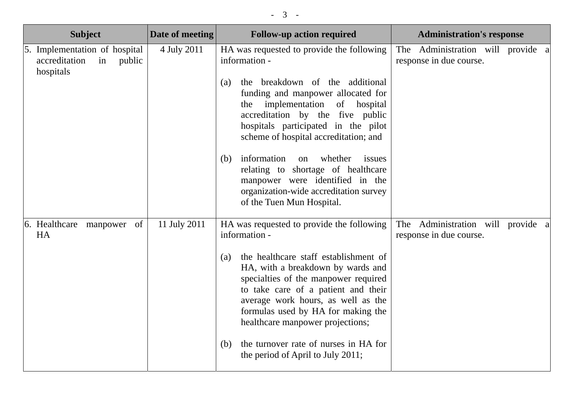| <b>Subject</b>                                                              | Date of meeting | <b>Follow-up action required</b>                                                                                                                                                                                                                                                 | <b>Administration's response</b>                             |
|-----------------------------------------------------------------------------|-----------------|----------------------------------------------------------------------------------------------------------------------------------------------------------------------------------------------------------------------------------------------------------------------------------|--------------------------------------------------------------|
| 5. Implementation of hospital<br>accreditation<br>public<br>in<br>hospitals | 4 July 2011     | HA was requested to provide the following<br>information -                                                                                                                                                                                                                       | The Administration will provide a<br>response in due course. |
|                                                                             |                 | the breakdown of the additional<br>(a)<br>funding and manpower allocated for<br>implementation<br>of hospital<br>the<br>accreditation by the five public<br>hospitals participated in the pilot<br>scheme of hospital accreditation; and                                         |                                                              |
|                                                                             |                 | information<br>whether<br>issues<br>on<br>(b)<br>relating to shortage of healthcare<br>manpower were identified in the<br>organization-wide accreditation survey<br>of the Tuen Mun Hospital.                                                                                    |                                                              |
| 6. Healthcare manpower<br>of<br><b>HA</b>                                   | 11 July 2011    | HA was requested to provide the following<br>information -                                                                                                                                                                                                                       | The Administration will provide a<br>response in due course. |
|                                                                             |                 | the healthcare staff establishment of<br>(a)<br>HA, with a breakdown by wards and<br>specialties of the manpower required<br>to take care of a patient and their<br>average work hours, as well as the<br>formulas used by HA for making the<br>healthcare manpower projections; |                                                              |
|                                                                             |                 | the turnover rate of nurses in HA for<br>(b)<br>the period of April to July 2011;                                                                                                                                                                                                |                                                              |